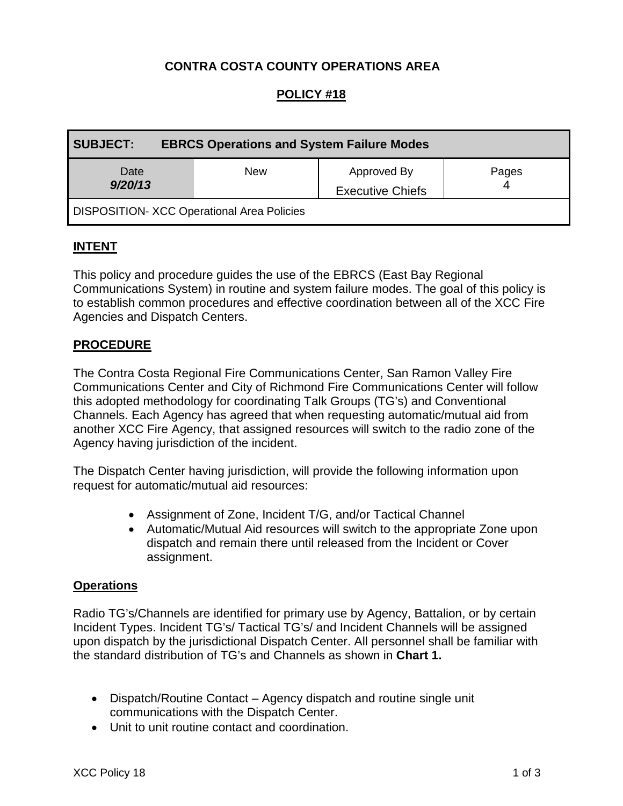# **CONTRA COSTA COUNTY OPERATIONS AREA**

# **POLICY #18**

| <b>SUBJECT:</b><br><b>EBRCS Operations and System Failure Modes</b> |            |                                        |       |  |
|---------------------------------------------------------------------|------------|----------------------------------------|-------|--|
| Date<br>9/20/13                                                     | <b>New</b> | Approved By<br><b>Executive Chiefs</b> | Pages |  |
| <b>DISPOSITION- XCC Operational Area Policies</b>                   |            |                                        |       |  |

### **INTENT**

This policy and procedure guides the use of the EBRCS (East Bay Regional Communications System) in routine and system failure modes. The goal of this policy is to establish common procedures and effective coordination between all of the XCC Fire Agencies and Dispatch Centers.

### **PROCEDURE**

The Contra Costa Regional Fire Communications Center, San Ramon Valley Fire Communications Center and City of Richmond Fire Communications Center will follow this adopted methodology for coordinating Talk Groups (TG's) and Conventional Channels. Each Agency has agreed that when requesting automatic/mutual aid from another XCC Fire Agency, that assigned resources will switch to the radio zone of the Agency having jurisdiction of the incident.

The Dispatch Center having jurisdiction, will provide the following information upon request for automatic/mutual aid resources:

- Assignment of Zone, Incident T/G, and/or Tactical Channel
- Automatic/Mutual Aid resources will switch to the appropriate Zone upon dispatch and remain there until released from the Incident or Cover assignment.

#### **Operations**

Radio TG's/Channels are identified for primary use by Agency, Battalion, or by certain Incident Types. Incident TG's/ Tactical TG's/ and Incident Channels will be assigned upon dispatch by the jurisdictional Dispatch Center. All personnel shall be familiar with the standard distribution of TG's and Channels as shown in **Chart 1.**

- Dispatch/Routine Contact Agency dispatch and routine single unit communications with the Dispatch Center.
- Unit to unit routine contact and coordination.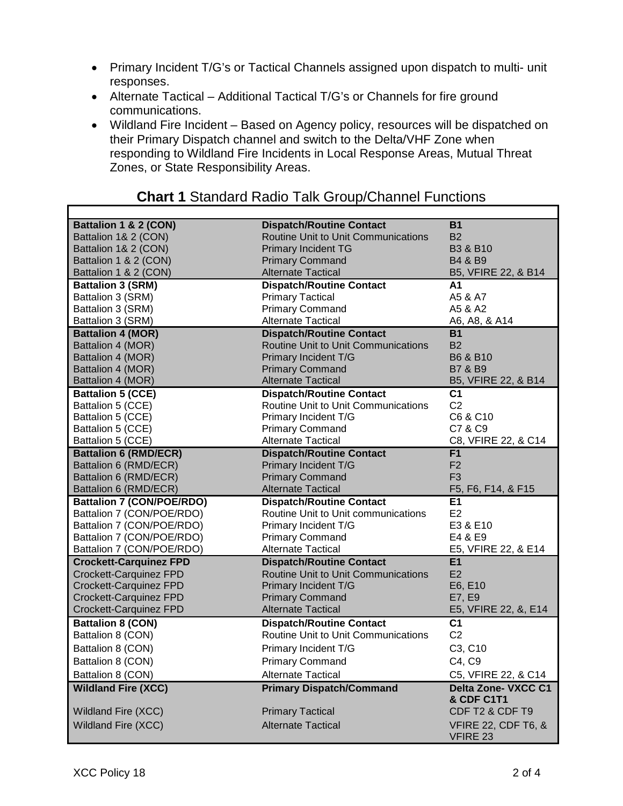- Primary Incident T/G's or Tactical Channels assigned upon dispatch to multi- unit responses.
- Alternate Tactical Additional Tactical T/G's or Channels for fire ground communications.
- Wildland Fire Incident Based on Agency policy, resources will be dispatched on their Primary Dispatch channel and switch to the Delta/VHF Zone when responding to Wildland Fire Incidents in Local Response Areas, Mutual Threat Zones, or State Responsibility Areas.

| Battalion 1 & 2 (CON)            | <b>Dispatch/Routine Contact</b>            | <b>B1</b>                      |
|----------------------------------|--------------------------------------------|--------------------------------|
| Battalion 1& 2 (CON)             | Routine Unit to Unit Communications        | <b>B2</b>                      |
| Battalion 1& 2 (CON)             | <b>Primary Incident TG</b>                 | <b>B3 &amp; B10</b>            |
| Battalion 1 & 2 (CON)            | <b>Primary Command</b>                     | B4 & B9                        |
| Battalion 1 & 2 (CON)            | <b>Alternate Tactical</b>                  | B5, VFIRE 22, & B14            |
| <b>Battalion 3 (SRM)</b>         | <b>Dispatch/Routine Contact</b>            | А1                             |
| Battalion 3 (SRM)                | <b>Primary Tactical</b>                    | A5 & A7                        |
| Battalion 3 (SRM)                | <b>Primary Command</b>                     | A5 & A2                        |
| Battalion 3 (SRM)                | <b>Alternate Tactical</b>                  | A6, A8, & A14                  |
| <b>Battalion 4 (MOR)</b>         | <b>Dispatch/Routine Contact</b>            | <b>B1</b>                      |
| Battalion 4 (MOR)                | Routine Unit to Unit Communications        | <b>B2</b>                      |
| Battalion 4 (MOR)                | Primary Incident T/G                       | B6 & B10                       |
| Battalion 4 (MOR)                | <b>Primary Command</b>                     | <b>B7 &amp; B9</b>             |
| Battalion 4 (MOR)                | <b>Alternate Tactical</b>                  | B5, VFIRE 22, & B14            |
| <b>Battalion 5 (CCE)</b>         | <b>Dispatch/Routine Contact</b>            | C <sub>1</sub>                 |
| Battalion 5 (CCE)                | Routine Unit to Unit Communications        | C <sub>2</sub>                 |
| Battalion 5 (CCE)                | Primary Incident T/G                       | C6 & C10                       |
| Battalion 5 (CCE)                | <b>Primary Command</b>                     | C7 & C9                        |
| Battalion 5 (CCE)                | <b>Alternate Tactical</b>                  | C8, VFIRE 22, & C14            |
| <b>Battalion 6 (RMD/ECR)</b>     | <b>Dispatch/Routine Contact</b>            | F <sub>1</sub>                 |
| Battalion 6 (RMD/ECR)            | Primary Incident T/G                       | F <sub>2</sub>                 |
| Battalion 6 (RMD/ECR)            | <b>Primary Command</b>                     | F <sub>3</sub>                 |
| Battalion 6 (RMD/ECR)            | <b>Alternate Tactical</b>                  | F5, F6, F14, & F15             |
| <b>Battalion 7 (CON/POE/RDO)</b> | <b>Dispatch/Routine Contact</b>            | E1                             |
| Battalion 7 (CON/POE/RDO)        | Routine Unit to Unit communications        | E2                             |
| Battalion 7 (CON/POE/RDO)        | Primary Incident T/G                       | E3 & E10                       |
| Battalion 7 (CON/POE/RDO)        | <b>Primary Command</b>                     | E4 & E9                        |
| Battalion 7 (CON/POE/RDO)        | <b>Alternate Tactical</b>                  | E5, VFIRE 22, & E14            |
| <b>Crockett-Carquinez FPD</b>    | <b>Dispatch/Routine Contact</b>            | <b>E1</b>                      |
| Crockett-Carquinez FPD           | Routine Unit to Unit Communications        | E2                             |
| Crockett-Carquinez FPD           | Primary Incident T/G                       | E6, E10                        |
| Crockett-Carquinez FPD           | <b>Primary Command</b>                     | E7, E9                         |
| Crockett-Carquinez FPD           | <b>Alternate Tactical</b>                  | E5, VFIRE 22, &, E14           |
| <b>Battalion 8 (CON)</b>         | <b>Dispatch/Routine Contact</b>            | C <sub>1</sub>                 |
| Battalion 8 (CON)                | <b>Routine Unit to Unit Communications</b> | C <sub>2</sub>                 |
| Battalion 8 (CON)                | Primary Incident T/G                       | C3, C10                        |
| Battalion 8 (CON)                | <b>Primary Command</b>                     | C4, C9                         |
| Battalion 8 (CON)                | <b>Alternate Tactical</b>                  | C5, VFIRE 22, & C14            |
| <b>Wildland Fire (XCC)</b>       | <b>Primary Dispatch/Command</b>            | Delta Zone- VXCC C1            |
|                                  |                                            | <b>&amp; CDF C1T1</b>          |
| Wildland Fire (XCC)              | <b>Primary Tactical</b>                    | CDF T2 & CDF T9                |
| Wildland Fire (XCC)              | <b>Alternate Tactical</b>                  | <b>VFIRE 22, CDF T6, &amp;</b> |
|                                  |                                            | <b>VFIRE 23</b>                |

# **Chart 1** Standard Radio Talk Group/Channel Functions

٦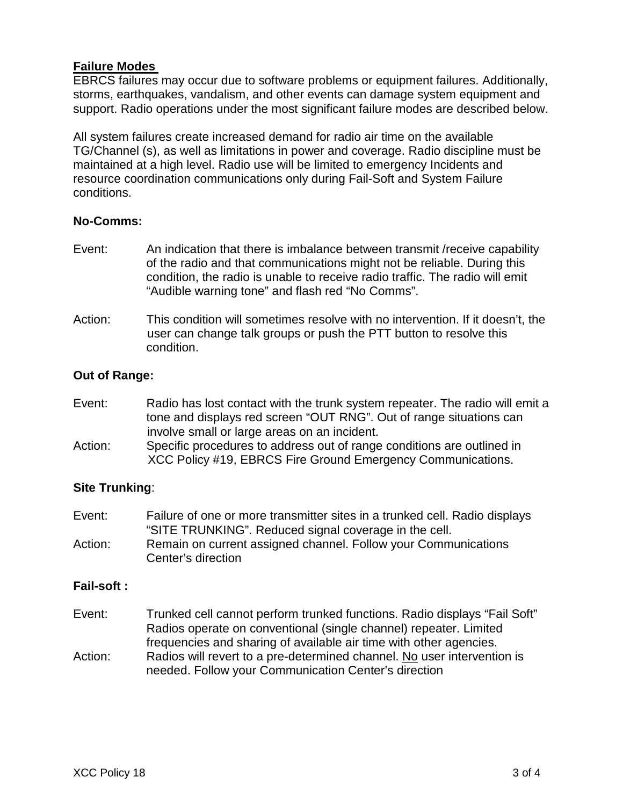## **Failure Modes**

EBRCS failures may occur due to software problems or equipment failures. Additionally, storms, earthquakes, vandalism, and other events can damage system equipment and support. Radio operations under the most significant failure modes are described below.

All system failures create increased demand for radio air time on the available TG/Channel (s), as well as limitations in power and coverage. Radio discipline must be maintained at a high level. Radio use will be limited to emergency Incidents and resource coordination communications only during Fail-Soft and System Failure conditions.

### **No-Comms:**

- Event: An indication that there is imbalance between transmit /receive capability of the radio and that communications might not be reliable. During this condition, the radio is unable to receive radio traffic. The radio will emit "Audible warning tone" and flash red "No Comms".
- Action: This condition will sometimes resolve with no intervention. If it doesn't, the user can change talk groups or push the PTT button to resolve this condition.

### **Out of Range:**

- Event: Radio has lost contact with the trunk system repeater. The radio will emit a tone and displays red screen "OUT RNG". Out of range situations can involve small or large areas on an incident.
- Action: Specific procedures to address out of range conditions are outlined in XCC Policy #19, EBRCS Fire Ground Emergency Communications.

#### **Site Trunking**:

Center's direction

Event: Failure of one or more transmitter sites in a trunked cell. Radio displays "SITE TRUNKING". Reduced signal coverage in the cell. Action: Remain on current assigned channel. Follow your Communications

#### **Fail-soft :**

- Event: Trunked cell cannot perform trunked functions. Radio displays "Fail Soft" Radios operate on conventional (single channel) repeater. Limited frequencies and sharing of available air time with other agencies. Action: Radios will revert to a pre-determined channel. No user intervention is
- needed. Follow your Communication Center's direction